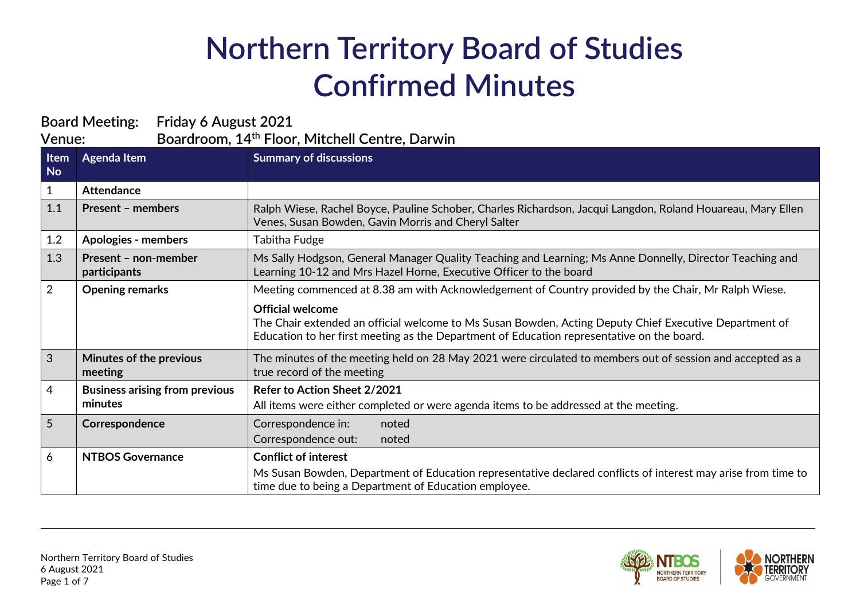## **Northern Territory Board of Studies Confirmed Minutes**

| <b>Board Meeting:</b><br>Friday 6 August 2021                        |                                                  |                                                                                                                                                                                                                                 |
|----------------------------------------------------------------------|--------------------------------------------------|---------------------------------------------------------------------------------------------------------------------------------------------------------------------------------------------------------------------------------|
| Boardroom, 14 <sup>th</sup> Floor, Mitchell Centre, Darwin<br>Venue: |                                                  |                                                                                                                                                                                                                                 |
| Item<br><b>No</b>                                                    | <b>Agenda Item</b>                               | <b>Summary of discussions</b>                                                                                                                                                                                                   |
| $\mathbf{1}$                                                         | <b>Attendance</b>                                |                                                                                                                                                                                                                                 |
| 1.1                                                                  | <b>Present - members</b>                         | Ralph Wiese, Rachel Boyce, Pauline Schober, Charles Richardson, Jacqui Langdon, Roland Houareau, Mary Ellen<br>Venes, Susan Bowden, Gavin Morris and Cheryl Salter                                                              |
| 1.2                                                                  | <b>Apologies - members</b>                       | <b>Tabitha Fudge</b>                                                                                                                                                                                                            |
| 1.3                                                                  | Present - non-member<br>participants             | Ms Sally Hodgson, General Manager Quality Teaching and Learning; Ms Anne Donnelly, Director Teaching and<br>Learning 10-12 and Mrs Hazel Horne, Executive Officer to the board                                                  |
| $\overline{2}$                                                       | <b>Opening remarks</b>                           | Meeting commenced at 8.38 am with Acknowledgement of Country provided by the Chair, Mr Ralph Wiese.                                                                                                                             |
|                                                                      |                                                  | <b>Official welcome</b><br>The Chair extended an official welcome to Ms Susan Bowden, Acting Deputy Chief Executive Department of<br>Education to her first meeting as the Department of Education representative on the board. |
| 3                                                                    | Minutes of the previous<br>meeting               | The minutes of the meeting held on 28 May 2021 were circulated to members out of session and accepted as a<br>true record of the meeting                                                                                        |
| 4                                                                    | <b>Business arising from previous</b><br>minutes | Refer to Action Sheet 2/2021<br>All items were either completed or were agenda items to be addressed at the meeting.                                                                                                            |
| 5                                                                    | Correspondence                                   | Correspondence in:<br>noted<br>Correspondence out:<br>noted                                                                                                                                                                     |
| 6                                                                    | <b>NTBOS Governance</b>                          | <b>Conflict of interest</b><br>Ms Susan Bowden, Department of Education representative declared conflicts of interest may arise from time to<br>time due to being a Department of Education employee.                           |

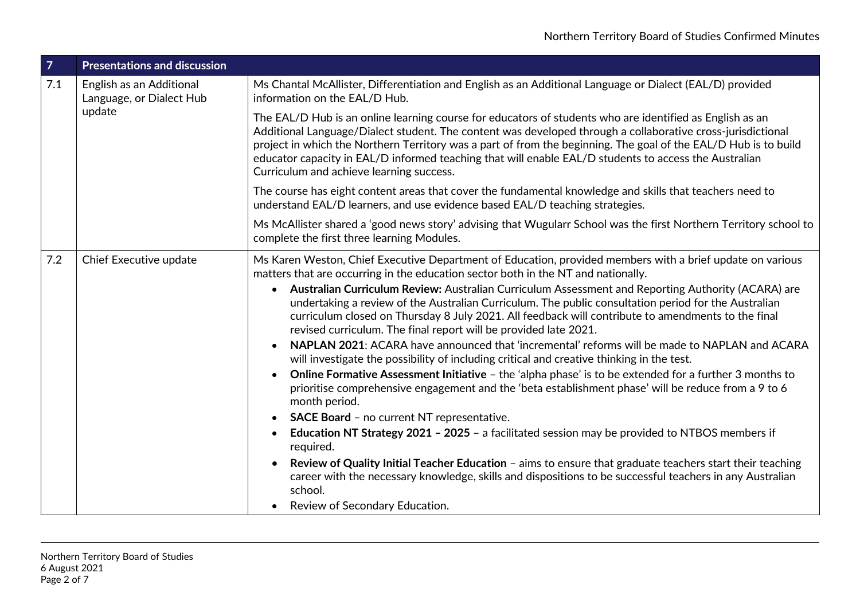| $\overline{7}$ | <b>Presentations and discussion</b>                            |                                                                                                                                                                                                                                                                                                                                                                                                                                                                                                                                                                                                                                                                                                                                                                                                                                                                                                                                                                                                                                                                                                                                                                                                                                                                                                                                                                                                                                                                                                         |
|----------------|----------------------------------------------------------------|---------------------------------------------------------------------------------------------------------------------------------------------------------------------------------------------------------------------------------------------------------------------------------------------------------------------------------------------------------------------------------------------------------------------------------------------------------------------------------------------------------------------------------------------------------------------------------------------------------------------------------------------------------------------------------------------------------------------------------------------------------------------------------------------------------------------------------------------------------------------------------------------------------------------------------------------------------------------------------------------------------------------------------------------------------------------------------------------------------------------------------------------------------------------------------------------------------------------------------------------------------------------------------------------------------------------------------------------------------------------------------------------------------------------------------------------------------------------------------------------------------|
| 7.1            | English as an Additional<br>Language, or Dialect Hub<br>update | Ms Chantal McAllister, Differentiation and English as an Additional Language or Dialect (EAL/D) provided<br>information on the EAL/D Hub.                                                                                                                                                                                                                                                                                                                                                                                                                                                                                                                                                                                                                                                                                                                                                                                                                                                                                                                                                                                                                                                                                                                                                                                                                                                                                                                                                               |
|                |                                                                | The EAL/D Hub is an online learning course for educators of students who are identified as English as an<br>Additional Language/Dialect student. The content was developed through a collaborative cross-jurisdictional<br>project in which the Northern Territory was a part of from the beginning. The goal of the EAL/D Hub is to build<br>educator capacity in EAL/D informed teaching that will enable EAL/D students to access the Australian<br>Curriculum and achieve learning success.                                                                                                                                                                                                                                                                                                                                                                                                                                                                                                                                                                                                                                                                                                                                                                                                                                                                                                                                                                                                         |
|                |                                                                | The course has eight content areas that cover the fundamental knowledge and skills that teachers need to<br>understand EAL/D learners, and use evidence based EAL/D teaching strategies.                                                                                                                                                                                                                                                                                                                                                                                                                                                                                                                                                                                                                                                                                                                                                                                                                                                                                                                                                                                                                                                                                                                                                                                                                                                                                                                |
|                |                                                                | Ms McAllister shared a 'good news story' advising that Wugularr School was the first Northern Territory school to<br>complete the first three learning Modules.                                                                                                                                                                                                                                                                                                                                                                                                                                                                                                                                                                                                                                                                                                                                                                                                                                                                                                                                                                                                                                                                                                                                                                                                                                                                                                                                         |
| 7.2            | Chief Executive update                                         | Ms Karen Weston, Chief Executive Department of Education, provided members with a brief update on various<br>matters that are occurring in the education sector both in the NT and nationally.<br>• Australian Curriculum Review: Australian Curriculum Assessment and Reporting Authority (ACARA) are<br>undertaking a review of the Australian Curriculum. The public consultation period for the Australian<br>curriculum closed on Thursday 8 July 2021. All feedback will contribute to amendments to the final<br>revised curriculum. The final report will be provided late 2021.<br>NAPLAN 2021: ACARA have announced that 'incremental' reforms will be made to NAPLAN and ACARA<br>will investigate the possibility of including critical and creative thinking in the test.<br>Online Formative Assessment Initiative - the 'alpha phase' is to be extended for a further 3 months to<br>$\bullet$<br>prioritise comprehensive engagement and the 'beta establishment phase' will be reduce from a 9 to 6<br>month period.<br>SACE Board - no current NT representative.<br>$\bullet$<br><b>Education NT Strategy 2021 - 2025 - a facilitated session may be provided to NTBOS members if</b><br>$\bullet$<br>required.<br>Review of Quality Initial Teacher Education - aims to ensure that graduate teachers start their teaching<br>career with the necessary knowledge, skills and dispositions to be successful teachers in any Australian<br>school.<br>Review of Secondary Education. |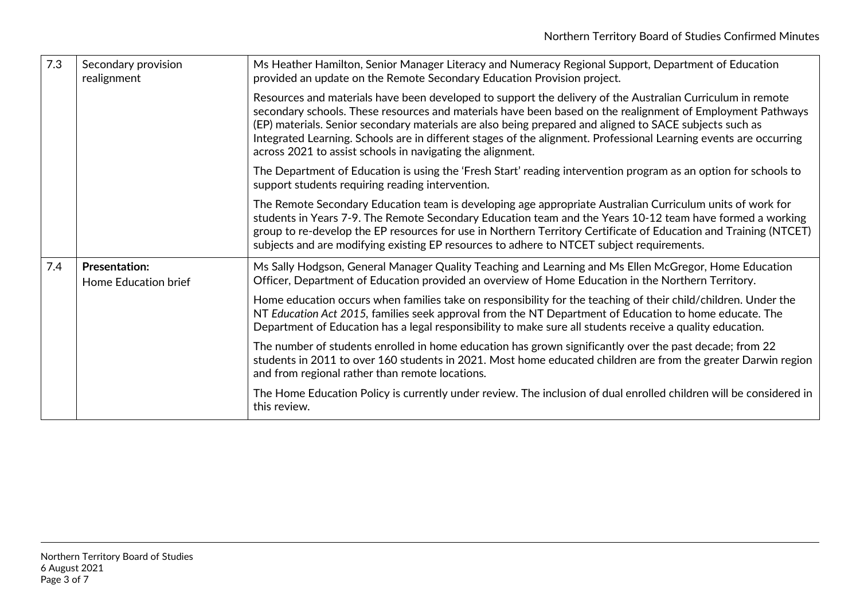| 7.3 | Secondary provision<br>realignment                  | Ms Heather Hamilton, Senior Manager Literacy and Numeracy Regional Support, Department of Education<br>provided an update on the Remote Secondary Education Provision project.                                                                                                                                                                                                                                                                                                                                         |
|-----|-----------------------------------------------------|------------------------------------------------------------------------------------------------------------------------------------------------------------------------------------------------------------------------------------------------------------------------------------------------------------------------------------------------------------------------------------------------------------------------------------------------------------------------------------------------------------------------|
|     |                                                     | Resources and materials have been developed to support the delivery of the Australian Curriculum in remote<br>secondary schools. These resources and materials have been based on the realignment of Employment Pathways<br>(EP) materials. Senior secondary materials are also being prepared and aligned to SACE subjects such as<br>Integrated Learning. Schools are in different stages of the alignment. Professional Learning events are occurring<br>across 2021 to assist schools in navigating the alignment. |
|     |                                                     | The Department of Education is using the 'Fresh Start' reading intervention program as an option for schools to<br>support students requiring reading intervention.                                                                                                                                                                                                                                                                                                                                                    |
|     |                                                     | The Remote Secondary Education team is developing age appropriate Australian Curriculum units of work for<br>students in Years 7-9. The Remote Secondary Education team and the Years 10-12 team have formed a working<br>group to re-develop the EP resources for use in Northern Territory Certificate of Education and Training (NTCET)<br>subjects and are modifying existing EP resources to adhere to NTCET subject requirements.                                                                                |
| 7.4 | <b>Presentation:</b><br><b>Home Education brief</b> | Ms Sally Hodgson, General Manager Quality Teaching and Learning and Ms Ellen McGregor, Home Education<br>Officer, Department of Education provided an overview of Home Education in the Northern Territory.                                                                                                                                                                                                                                                                                                            |
|     |                                                     | Home education occurs when families take on responsibility for the teaching of their child/children. Under the<br>NT Education Act 2015, families seek approval from the NT Department of Education to home educate. The<br>Department of Education has a legal responsibility to make sure all students receive a quality education.                                                                                                                                                                                  |
|     |                                                     | The number of students enrolled in home education has grown significantly over the past decade; from 22<br>students in 2011 to over 160 students in 2021. Most home educated children are from the greater Darwin region<br>and from regional rather than remote locations.                                                                                                                                                                                                                                            |
|     |                                                     | The Home Education Policy is currently under review. The inclusion of dual enrolled children will be considered in<br>this review.                                                                                                                                                                                                                                                                                                                                                                                     |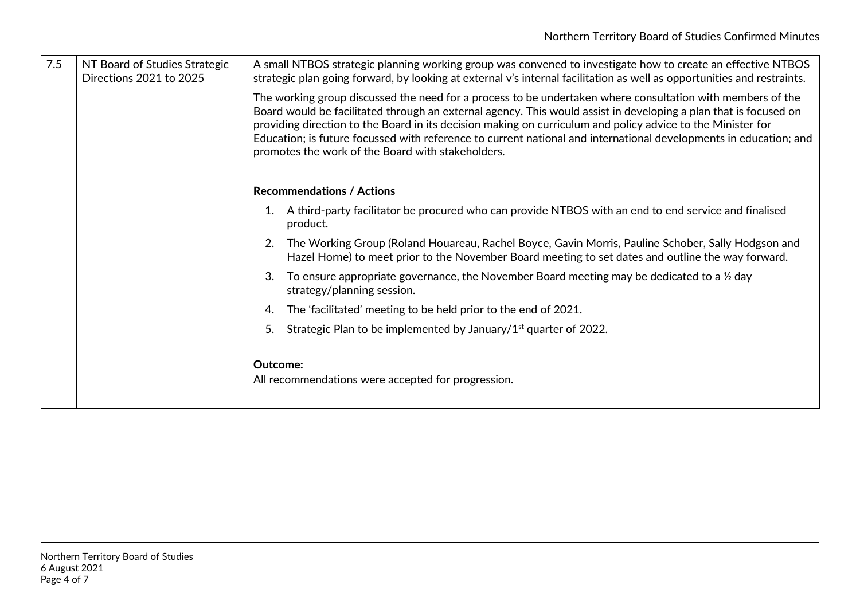| 7.5 | NT Board of Studies Strategic<br>Directions 2021 to 2025 | A small NTBOS strategic planning working group was convened to investigate how to create an effective NTBOS<br>strategic plan going forward, by looking at external v's internal facilitation as well as opportunities and restraints.                                                                                                                                                                                                                                                                                  |
|-----|----------------------------------------------------------|-------------------------------------------------------------------------------------------------------------------------------------------------------------------------------------------------------------------------------------------------------------------------------------------------------------------------------------------------------------------------------------------------------------------------------------------------------------------------------------------------------------------------|
|     |                                                          | The working group discussed the need for a process to be undertaken where consultation with members of the<br>Board would be facilitated through an external agency. This would assist in developing a plan that is focused on<br>providing direction to the Board in its decision making on curriculum and policy advice to the Minister for<br>Education; is future focussed with reference to current national and international developments in education; and<br>promotes the work of the Board with stakeholders. |
|     |                                                          | <b>Recommendations / Actions</b>                                                                                                                                                                                                                                                                                                                                                                                                                                                                                        |
|     |                                                          | A third-party facilitator be procured who can provide NTBOS with an end to end service and finalised<br>product.                                                                                                                                                                                                                                                                                                                                                                                                        |
|     |                                                          | The Working Group (Roland Houareau, Rachel Boyce, Gavin Morris, Pauline Schober, Sally Hodgson and<br>Hazel Horne) to meet prior to the November Board meeting to set dates and outline the way forward.                                                                                                                                                                                                                                                                                                                |
|     |                                                          | To ensure appropriate governance, the November Board meeting may be dedicated to a $\frac{1}{2}$ day<br>strategy/planning session.                                                                                                                                                                                                                                                                                                                                                                                      |
|     |                                                          | The 'facilitated' meeting to be held prior to the end of 2021.<br>4.                                                                                                                                                                                                                                                                                                                                                                                                                                                    |
|     |                                                          | Strategic Plan to be implemented by January/1 <sup>st</sup> quarter of 2022.                                                                                                                                                                                                                                                                                                                                                                                                                                            |
|     |                                                          | Outcome:<br>All recommendations were accepted for progression.                                                                                                                                                                                                                                                                                                                                                                                                                                                          |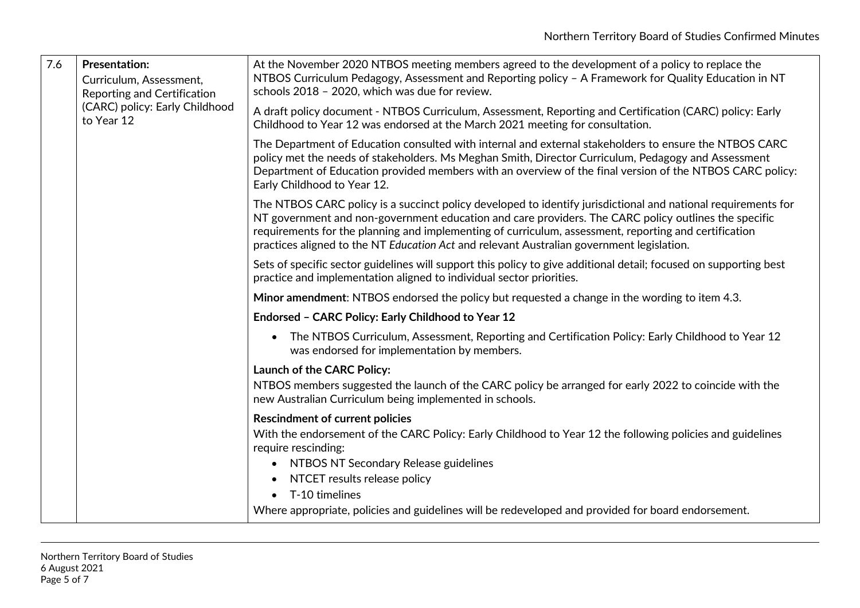| 7.6 | <b>Presentation:</b><br>Curriculum, Assessment,<br>Reporting and Certification<br>(CARC) policy: Early Childhood<br>to Year 12 | At the November 2020 NTBOS meeting members agreed to the development of a policy to replace the<br>NTBOS Curriculum Pedagogy, Assessment and Reporting policy - A Framework for Quality Education in NT<br>schools 2018 - 2020, which was due for review.                                                                                                                                                                   |
|-----|--------------------------------------------------------------------------------------------------------------------------------|-----------------------------------------------------------------------------------------------------------------------------------------------------------------------------------------------------------------------------------------------------------------------------------------------------------------------------------------------------------------------------------------------------------------------------|
|     |                                                                                                                                | A draft policy document - NTBOS Curriculum, Assessment, Reporting and Certification (CARC) policy: Early<br>Childhood to Year 12 was endorsed at the March 2021 meeting for consultation.                                                                                                                                                                                                                                   |
|     |                                                                                                                                | The Department of Education consulted with internal and external stakeholders to ensure the NTBOS CARC<br>policy met the needs of stakeholders. Ms Meghan Smith, Director Curriculum, Pedagogy and Assessment<br>Department of Education provided members with an overview of the final version of the NTBOS CARC policy:<br>Early Childhood to Year 12.                                                                    |
|     |                                                                                                                                | The NTBOS CARC policy is a succinct policy developed to identify jurisdictional and national requirements for<br>NT government and non-government education and care providers. The CARC policy outlines the specific<br>requirements for the planning and implementing of curriculum, assessment, reporting and certification<br>practices aligned to the NT Education Act and relevant Australian government legislation. |
|     |                                                                                                                                | Sets of specific sector guidelines will support this policy to give additional detail; focused on supporting best<br>practice and implementation aligned to individual sector priorities.                                                                                                                                                                                                                                   |
|     |                                                                                                                                | Minor amendment: NTBOS endorsed the policy but requested a change in the wording to item 4.3.                                                                                                                                                                                                                                                                                                                               |
|     |                                                                                                                                | Endorsed - CARC Policy: Early Childhood to Year 12                                                                                                                                                                                                                                                                                                                                                                          |
|     |                                                                                                                                | The NTBOS Curriculum, Assessment, Reporting and Certification Policy: Early Childhood to Year 12<br>was endorsed for implementation by members.                                                                                                                                                                                                                                                                             |
|     |                                                                                                                                | Launch of the CARC Policy:<br>NTBOS members suggested the launch of the CARC policy be arranged for early 2022 to coincide with the<br>new Australian Curriculum being implemented in schools.                                                                                                                                                                                                                              |
|     |                                                                                                                                | <b>Rescindment of current policies</b><br>With the endorsement of the CARC Policy: Early Childhood to Year 12 the following policies and guidelines<br>require rescinding:<br>• NTBOS NT Secondary Release guidelines                                                                                                                                                                                                       |
|     |                                                                                                                                | NTCET results release policy<br>T-10 timelines                                                                                                                                                                                                                                                                                                                                                                              |
|     |                                                                                                                                | Where appropriate, policies and guidelines will be redeveloped and provided for board endorsement.                                                                                                                                                                                                                                                                                                                          |
|     |                                                                                                                                |                                                                                                                                                                                                                                                                                                                                                                                                                             |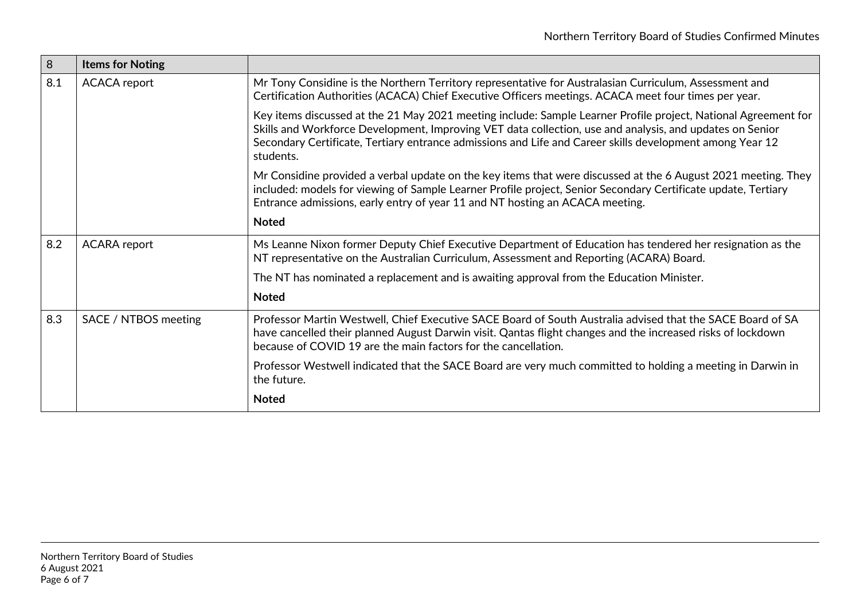| 8   | <b>Items for Noting</b> |                                                                                                                                                                                                                                                                                                                                                     |
|-----|-------------------------|-----------------------------------------------------------------------------------------------------------------------------------------------------------------------------------------------------------------------------------------------------------------------------------------------------------------------------------------------------|
| 8.1 | <b>ACACA</b> report     | Mr Tony Considine is the Northern Territory representative for Australasian Curriculum, Assessment and<br>Certification Authorities (ACACA) Chief Executive Officers meetings. ACACA meet four times per year.                                                                                                                                      |
|     |                         | Key items discussed at the 21 May 2021 meeting include: Sample Learner Profile project, National Agreement for<br>Skills and Workforce Development, Improving VET data collection, use and analysis, and updates on Senior<br>Secondary Certificate, Tertiary entrance admissions and Life and Career skills development among Year 12<br>students. |
|     |                         | Mr Considine provided a verbal update on the key items that were discussed at the 6 August 2021 meeting. They<br>included: models for viewing of Sample Learner Profile project, Senior Secondary Certificate update, Tertiary<br>Entrance admissions, early entry of year 11 and NT hosting an ACACA meeting.                                      |
|     |                         | <b>Noted</b>                                                                                                                                                                                                                                                                                                                                        |
| 8.2 | <b>ACARA</b> report     | Ms Leanne Nixon former Deputy Chief Executive Department of Education has tendered her resignation as the<br>NT representative on the Australian Curriculum, Assessment and Reporting (ACARA) Board.                                                                                                                                                |
|     |                         | The NT has nominated a replacement and is awaiting approval from the Education Minister.                                                                                                                                                                                                                                                            |
|     |                         | <b>Noted</b>                                                                                                                                                                                                                                                                                                                                        |
| 8.3 | SACE / NTBOS meeting    | Professor Martin Westwell, Chief Executive SACE Board of South Australia advised that the SACE Board of SA<br>have cancelled their planned August Darwin visit. Qantas flight changes and the increased risks of lockdown<br>because of COVID 19 are the main factors for the cancellation.                                                         |
|     |                         | Professor Westwell indicated that the SACE Board are very much committed to holding a meeting in Darwin in<br>the future.                                                                                                                                                                                                                           |
|     |                         | <b>Noted</b>                                                                                                                                                                                                                                                                                                                                        |